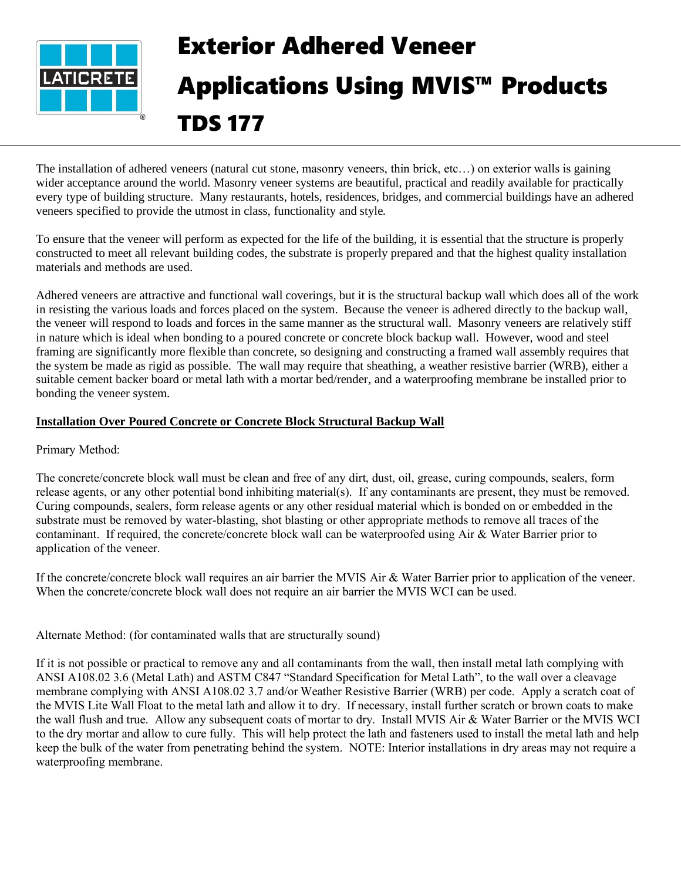

# Exterior Adhered Veneer Applications Using MVIS™ Products TDS 177

The installation of adhered veneers (natural cut stone, masonry veneers, thin brick, etc…) on exterior walls is gaining wider acceptance around the world. Masonry veneer systems are beautiful, practical and readily available for practically every type of building structure. Many restaurants, hotels, residences, bridges, and commercial buildings have an adhered veneers specified to provide the utmost in class, functionality and style.

To ensure that the veneer will perform as expected for the life of the building, it is essential that the structure is properly constructed to meet all relevant building codes, the substrate is properly prepared and that the highest quality installation materials and methods are used.

Adhered veneers are attractive and functional wall coverings, but it is the structural backup wall which does all of the work in resisting the various loads and forces placed on the system. Because the veneer is adhered directly to the backup wall, the veneer will respond to loads and forces in the same manner as the structural wall. Masonry veneers are relatively stiff in nature which is ideal when bonding to a poured concrete or concrete block backup wall. However, wood and steel framing are significantly more flexible than concrete, so designing and constructing a framed wall assembly requires that the system be made as rigid as possible. The wall may require that sheathing, a weather resistive barrier (WRB), either a suitable cement backer board or metal lath with a mortar bed/render, and a waterproofing membrane be installed prior to bonding the veneer system.

# **Installation Over Poured Concrete or Concrete Block Structural Backup Wall**

# Primary Method:

The concrete/concrete block wall must be clean and free of any dirt, dust, oil, grease, curing compounds, sealers, form release agents, or any other potential bond inhibiting material(s). If any contaminants are present, they must be removed. Curing compounds, sealers, form release agents or any other residual material which is bonded on or embedded in the substrate must be removed by water-blasting, shot blasting or other appropriate methods to remove all traces of the contaminant. If required, the concrete/concrete block wall can be waterproofed using Air & Water Barrier prior to application of the veneer.

If the concrete/concrete block wall requires an air barrier the MVIS Air & Water Barrier prior to application of the veneer. When the concrete/concrete block wall does not require an air barrier the MVIS WCI can be used.

Alternate Method: (for contaminated walls that are structurally sound)

If it is not possible or practical to remove any and all contaminants from the wall, then install metal lath complying with ANSI A108.02 3.6 (Metal Lath) and ASTM C847 "Standard Specification for Metal Lath", to the wall over a cleavage membrane complying with ANSI A108.02 3.7 and/or Weather Resistive Barrier (WRB) per code. Apply a scratch coat of the MVIS Lite Wall Float to the metal lath and allow it to dry. If necessary, install further scratch or brown coats to make the wall flush and true. Allow any subsequent coats of mortar to dry. Install MVIS Air & Water Barrier or the MVIS WCI to the dry mortar and allow to cure fully. This will help protect the lath and fasteners used to install the metal lath and help keep the bulk of the water from penetrating behind the system. NOTE: Interior installations in dry areas may not require a waterproofing membrane.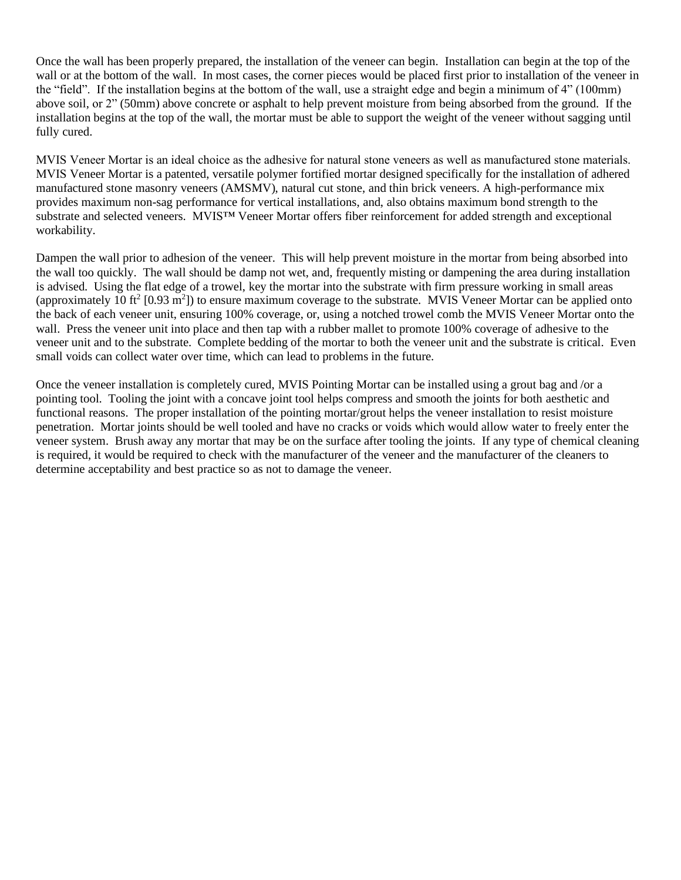Once the wall has been properly prepared, the installation of the veneer can begin. Installation can begin at the top of the wall or at the bottom of the wall. In most cases, the corner pieces would be placed first prior to installation of the veneer in the "field". If the installation begins at the bottom of the wall, use a straight edge and begin a minimum of 4" (100mm) above soil, or 2" (50mm) above concrete or asphalt to help prevent moisture from being absorbed from the ground. If the installation begins at the top of the wall, the mortar must be able to support the weight of the veneer without sagging until fully cured.

MVIS Veneer Mortar is an ideal choice as the adhesive for natural stone veneers as well as manufactured stone materials. MVIS Veneer Mortar is a patented, versatile polymer fortified mortar designed specifically for the installation of adhered manufactured stone masonry veneers (AMSMV), natural cut stone, and thin brick veneers. A high-performance mix provides maximum non-sag performance for vertical installations, and, also obtains maximum bond strength to the substrate and selected veneers. MVIS™ Veneer Mortar offers fiber reinforcement for added strength and exceptional workability.

Dampen the wall prior to adhesion of the veneer. This will help prevent moisture in the mortar from being absorbed into the wall too quickly. The wall should be damp not wet, and, frequently misting or dampening the area during installation is advised. Using the flat edge of a trowel, key the mortar into the substrate with firm pressure working in small areas (approximately 10 ft<sup>2</sup> [0.93 m<sup>2</sup>]) to ensure maximum coverage to the substrate. MVIS Veneer Mortar can be applied onto the back of each veneer unit, ensuring 100% coverage, or, using a notched trowel comb the MVIS Veneer Mortar onto the wall. Press the veneer unit into place and then tap with a rubber mallet to promote 100% coverage of adhesive to the veneer unit and to the substrate. Complete bedding of the mortar to both the veneer unit and the substrate is critical. Even small voids can collect water over time, which can lead to problems in the future.

Once the veneer installation is completely cured, MVIS Pointing Mortar can be installed using a grout bag and /or a pointing tool. Tooling the joint with a concave joint tool helps compress and smooth the joints for both aesthetic and functional reasons. The proper installation of the pointing mortar/grout helps the veneer installation to resist moisture penetration. Mortar joints should be well tooled and have no cracks or voids which would allow water to freely enter the veneer system. Brush away any mortar that may be on the surface after tooling the joints. If any type of chemical cleaning is required, it would be required to check with the manufacturer of the veneer and the manufacturer of the cleaners to determine acceptability and best practice so as not to damage the veneer.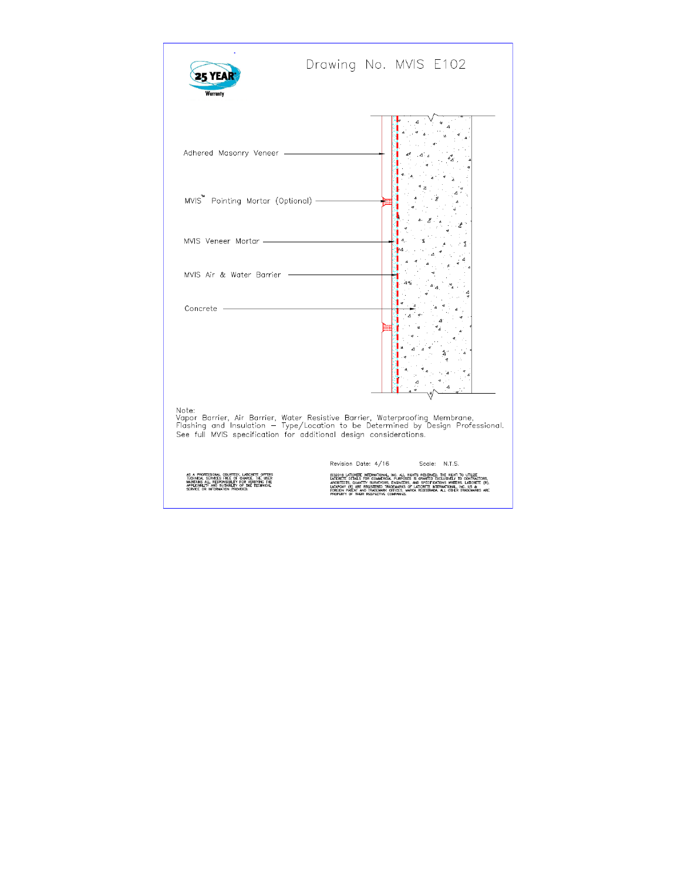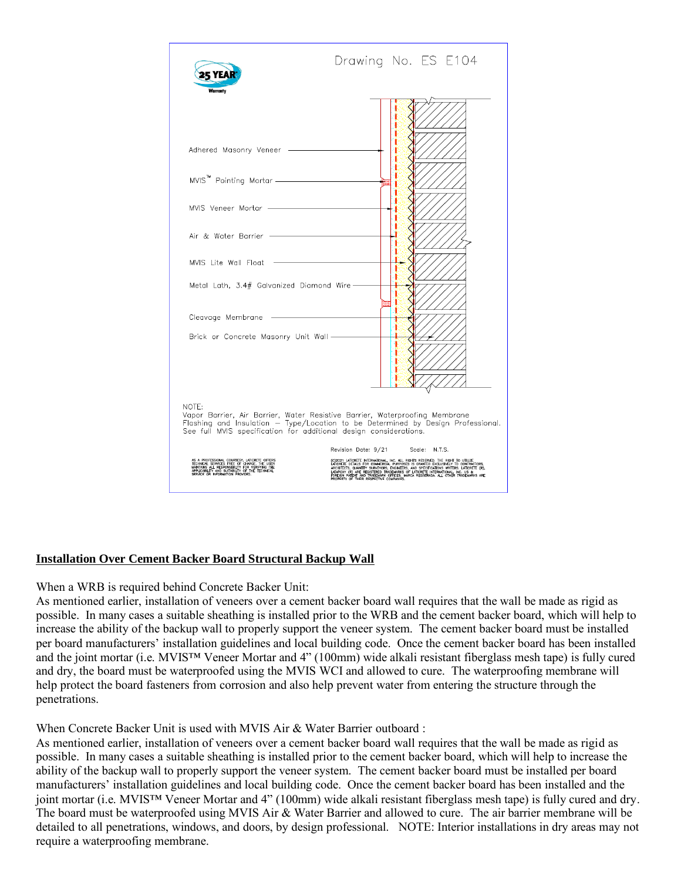

# **Installation Over Cement Backer Board Structural Backup Wall**

# When a WRB is required behind Concrete Backer Unit:

As mentioned earlier, installation of veneers over a cement backer board wall requires that the wall be made as rigid as possible. In many cases a suitable sheathing is installed prior to the WRB and the cement backer board, which will help to increase the ability of the backup wall to properly support the veneer system. The cement backer board must be installed per board manufacturers' installation guidelines and local building code. Once the cement backer board has been installed and the joint mortar (i.e. MVIS™ Veneer Mortar and 4" (100mm) wide alkali resistant fiberglass mesh tape) is fully cured and dry, the board must be waterproofed using the MVIS WCI and allowed to cure. The waterproofing membrane will help protect the board fasteners from corrosion and also help prevent water from entering the structure through the penetrations.

# When Concrete Backer Unit is used with MVIS Air & Water Barrier outboard :

As mentioned earlier, installation of veneers over a cement backer board wall requires that the wall be made as rigid as possible. In many cases a suitable sheathing is installed prior to the cement backer board, which will help to increase the ability of the backup wall to properly support the veneer system. The cement backer board must be installed per board manufacturers' installation guidelines and local building code. Once the cement backer board has been installed and the joint mortar (i.e. MVIS™ Veneer Mortar and 4" (100mm) wide alkali resistant fiberglass mesh tape) is fully cured and dry. The board must be waterproofed using MVIS Air & Water Barrier and allowed to cure. The air barrier membrane will be detailed to all penetrations, windows, and doors, by design professional. NOTE: Interior installations in dry areas may not require a waterproofing membrane.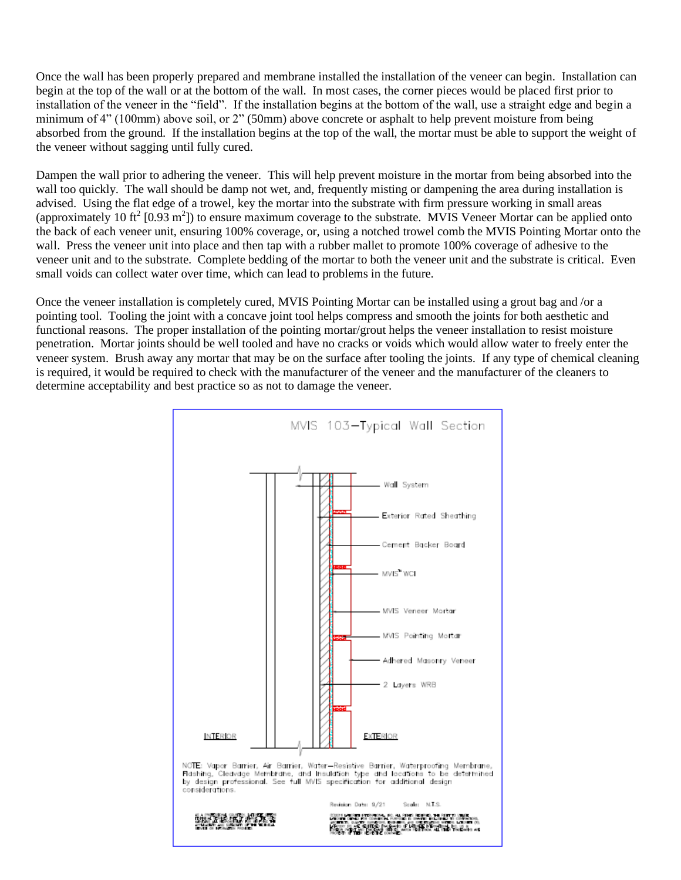Once the wall has been properly prepared and membrane installed the installation of the veneer can begin. Installation can begin at the top of the wall or at the bottom of the wall. In most cases, the corner pieces would be placed first prior to installation of the veneer in the "field". If the installation begins at the bottom of the wall, use a straight edge and begin a minimum of 4" (100mm) above soil, or 2" (50mm) above concrete or asphalt to help prevent moisture from being absorbed from the ground. If the installation begins at the top of the wall, the mortar must be able to support the weight of the veneer without sagging until fully cured.

Dampen the wall prior to adhering the veneer. This will help prevent moisture in the mortar from being absorbed into the wall too quickly. The wall should be damp not wet, and, frequently misting or dampening the area during installation is advised. Using the flat edge of a trowel, key the mortar into the substrate with firm pressure working in small areas (approximately 10 ft<sup>2</sup> [0.93 m<sup>2</sup>]) to ensure maximum coverage to the substrate. MVIS Veneer Mortar can be applied onto the back of each veneer unit, ensuring 100% coverage, or, using a notched trowel comb the MVIS Pointing Mortar onto the wall. Press the veneer unit into place and then tap with a rubber mallet to promote 100% coverage of adhesive to the veneer unit and to the substrate. Complete bedding of the mortar to both the veneer unit and the substrate is critical. Even small voids can collect water over time, which can lead to problems in the future.

Once the veneer installation is completely cured, MVIS Pointing Mortar can be installed using a grout bag and /or a pointing tool. Tooling the joint with a concave joint tool helps compress and smooth the joints for both aesthetic and functional reasons. The proper installation of the pointing mortar/grout helps the veneer installation to resist moisture penetration. Mortar joints should be well tooled and have no cracks or voids which would allow water to freely enter the veneer system. Brush away any mortar that may be on the surface after tooling the joints. If any type of chemical cleaning is required, it would be required to check with the manufacturer of the veneer and the manufacturer of the cleaners to determine acceptability and best practice so as not to damage the veneer.

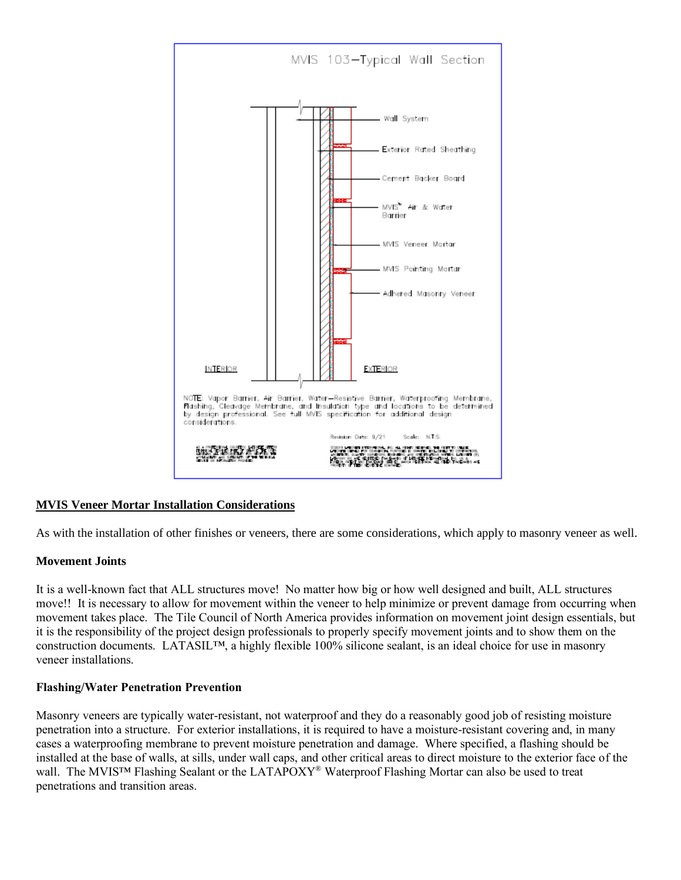

# **MVIS Veneer Mortar Installation Considerations**

As with the installation of other finishes or veneers, there are some considerations, which apply to masonry veneer as well.

# **Movement Joints**

It is a well-known fact that ALL structures move! No matter how big or how well designed and built, ALL structures move!! It is necessary to allow for movement within the veneer to help minimize or prevent damage from occurring when movement takes place. The Tile Council of North America provides information on movement joint design essentials, but it is the responsibility of the project design professionals to properly specify movement joints and to show them on the construction documents. LATASIL™, a highly flexible 100% silicone sealant, is an ideal choice for use in masonry veneer installations.

# **Flashing/Water Penetration Prevention**

Masonry veneers are typically water-resistant, not waterproof and they do a reasonably good job of resisting moisture penetration into a structure. For exterior installations, it is required to have a moisture-resistant covering and, in many cases a waterproofing membrane to prevent moisture penetration and damage. Where specified, a flashing should be installed at the base of walls, at sills, under wall caps, and other critical areas to direct moisture to the exterior face of the wall. The MVIS<sup>™</sup> Flashing Sealant or the LATAPOXY<sup>®</sup> Waterproof Flashing Mortar can also be used to treat penetrations and transition areas.